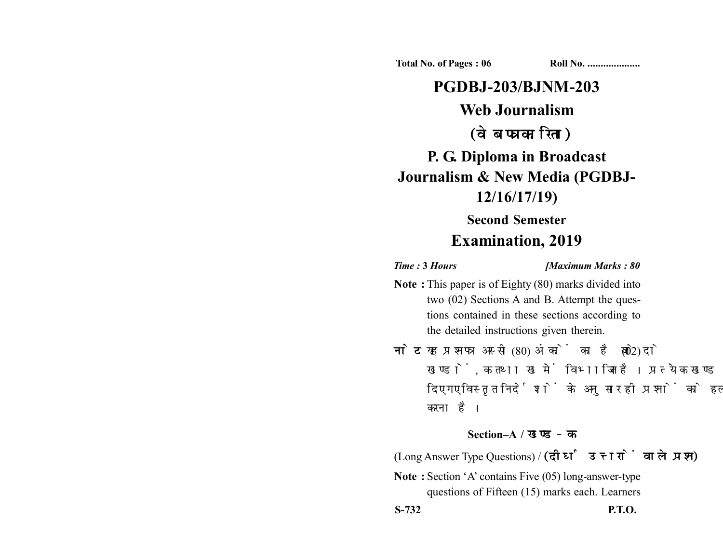**Total No. of Pages : 06 Roll No. ...................** 

# **PGDBJ-203/BJNM-203 Web Journalism** (वेब पत्रकारिता) **P. G. Diploma in Broadcast Journalism & New Media (PGDBJ-12/16/17/19)**

## **Second Semester Examination, 2019**

*Time :* **3** *Hours [Maximum Marks : 80*

- **Note :** This paper is of Eighty (80) marks divided into two (02) Sections A and B. Attempt the questions contained in these sections according to the detailed instructions given therein.
- नोट: यह प्रश्नपत्र अस्सी (80) अंकों का है जो दो (02) खण्डों, क तथा ख में विभाजित है। प्रत्येक खण्ड में दिए गए विस्तृत निर्देशों के अनुसार ही प्रश्नों को हल करना है।

### **Section–A /**

(Long Answer Type Questions) / (दीर्घ उत्तरों वाले प्रश्न)

**Note :** Section 'A' contains Five (05) long-answer-type questions of Fifteen (15) marks each. Learners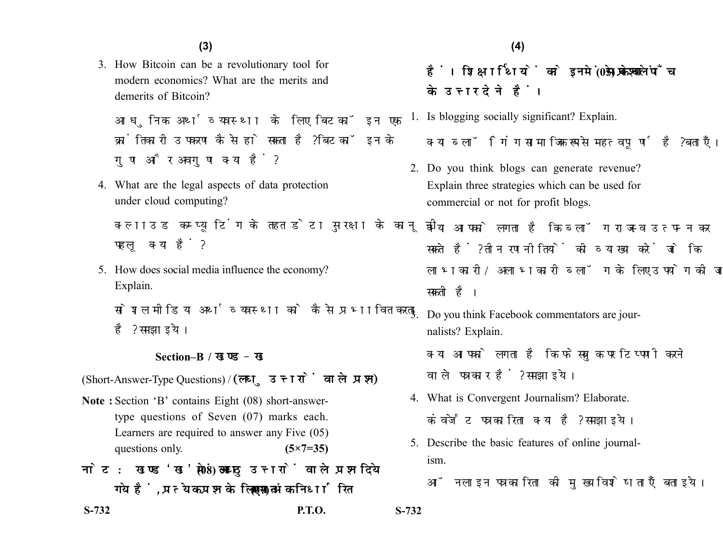3. How Bitcoin can be a revolutionary tool for modern economics? What are the merits and demerits of Bitcoin?

आधुनिक अर्थव्यवस्था के लिए बिटकॉइन एक क्रांतिकारी उपकरण कैसे हो सकता है? बिटकॉइन के गुण और अवगुण क्या हैं?

4. What are the legal aspects of data protection under cloud computing?

क्लाउड कम्प्यूटिंग के तहत डेटा सुरक्षा के कानूनी पहलु क्या हैं?

5. How does social media influence the economy? Explain.

सोशल मीडिया अर्थव्यवस्था को कैसे प्रभावित करता है? समझाइये।

#### **Section–B /**

(Short-Answer-Type Questions) / (लघु उत्तरों वाले प्रश्न)

- **Note :** Section 'B' contains Eight (08) short-answertype questions of Seven (07) marks each. Learners are required to answer any Five (05) questions only. **(5×7=35)**
- नोट: खण्ड'ख' में आठ (08) लघु उत्तरों वाले प्रश्न दिये गये हैं, प्रत्येक प्रश्न के लिए सात (07) अंक निर्धारित

**S-732 P.T.O. S-732**

हैं। शिक्षार्थियों को इनमें से केवल पाँच (05) प्रश्नों के उत्तर देने हैं।

1. Is blogging socially significant? Explain.

क्या ब्लॉगिंग सामाजिक रूप से महत्वपर्ण है? बताएँ।

2. Do you think blogs can generate revenue? Explain three strategies which can be used for commercial or not for profit blogs.

क्या आपको लगता है कि ब्लॉग राजस्व उत्पन्न कर सकते हैं? तीन रणनीतियों की व्याख्या करें जो कि लाभकारी/अलाभकारी ब्लॉग के लिए उपयोग की जा सकती है।

3. Do you think Facebook commentators are journalists? Explain. क्या आपको लगता है कि फेसबुक पर टिप्पणी करने

वाले पत्रकार हैं? समझाइये।

- 4. What is Convergent Journalism? Elaborate. कंवर्जेंट पत्रकारिता क्या है? समझाइये।
- 5. Describe the basic features of online journalism.

ऑनलाइन पत्रकारिता की मुख्य विशेषताएँ बताइये।